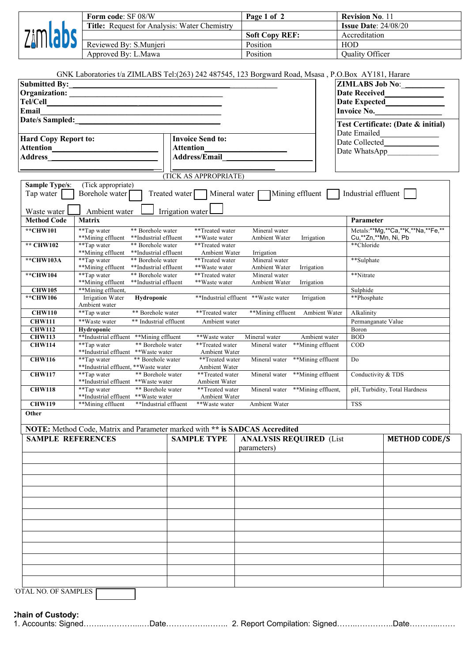|          | <b>Form code: SF 08/W</b>                    | Page 1 of 2           | <b>Revision No. 11</b>        |
|----------|----------------------------------------------|-----------------------|-------------------------------|
|          | Title: Request for Analysis: Water Chemistry |                       | <b>Issue Date:</b> $24/08/20$ |
| 7:MI!    |                                              | <b>Soft Copy REF:</b> | Accreditation                 |
| ZALITOUE | Reviewed By: S.Munjeri                       | Position              | <b>HOD</b>                    |
|          | Approved By: L.Mawa                          | Position              | <b>Ouality Officer</b>        |

|                                    |                                                                                |                                                       | GNK Laboratories t/a ZIMLABS Tel:(263) 242 487545, 123 Borgward Road, Msasa, P.O.Box AY181, Harare |                             |                                    |
|------------------------------------|--------------------------------------------------------------------------------|-------------------------------------------------------|----------------------------------------------------------------------------------------------------|-----------------------------|------------------------------------|
| <b>Submitted By:</b>               |                                                                                |                                                       |                                                                                                    | <b>ZIMLABS Job No:</b>      |                                    |
|                                    |                                                                                |                                                       |                                                                                                    | <b>Date Received</b>        |                                    |
| Tel/Cell                           |                                                                                |                                                       |                                                                                                    |                             | Date Expected<br><u>Date</u>       |
| Email                              |                                                                                |                                                       |                                                                                                    |                             | Invoice No.                        |
| Date/s Sampled:                    |                                                                                |                                                       |                                                                                                    |                             | Test Certificate: (Date & initial) |
|                                    |                                                                                |                                                       |                                                                                                    | Date Emailed                |                                    |
| <b>Hard Copy Report to:</b>        |                                                                                | <b>Invoice Send to:</b>                               |                                                                                                    | Date Collected              |                                    |
|                                    |                                                                                | Attention                                             |                                                                                                    | Date WhatsApp               |                                    |
| <b>Address</b>                     |                                                                                | <b>Address/Email</b>                                  |                                                                                                    |                             |                                    |
|                                    |                                                                                | (TICK AS APPROPRIATE)                                 |                                                                                                    |                             |                                    |
| <b>Sample Type/s:</b><br>Tap water | (Tick appropriate)<br>Borehole water                                           | Treated water                                         | Mineral water Mining effluent                                                                      | Industrial effluent         |                                    |
| Waste water                        | Ambient water                                                                  | Irrigation water                                      |                                                                                                    |                             |                                    |
| <b>Method Code</b>                 | <b>Matrix</b>                                                                  |                                                       |                                                                                                    | Parameter                   |                                    |
| **CHW101                           | ** Borehole water<br>**Tap water<br>**Mining effluent<br>**Industrial effluent | **Treated water<br>**Waste water                      | Mineral water<br>Ambient Water<br>Irrigation                                                       | Cu,**Zn,**Mn, Ni, Pb        | Metals:**Mg,**Ca,**K,**Na,**Fe,**  |
| ** CHW102                          | **Tap water<br>** Borehole water<br>**Mining effluent<br>**Industrial effluent | **Treated water<br>Ambient Water                      | Irrigation                                                                                         | **Chloride                  |                                    |
| **CHW103A                          | **Tap water<br>** Borehole water                                               | **Treated water                                       | Mineral water                                                                                      | **Sulphate                  |                                    |
| **CHW104                           | **Mining effluent<br>**Industrial effluent<br>**Tap water<br>** Borehole water | **Waste water<br>**Treated water                      | Ambient Water<br>Irrigation<br>Mineral water                                                       | **Nitrate                   |                                    |
| <b>CHW105</b>                      | **Mining effluent<br>**Industrial effluent<br>**Mining effluent,               | **Waste water                                         | Ambient Water<br>Irrigation                                                                        | Sulphide                    |                                    |
| **CHW106                           | Irrigation Water<br>Hydroponic<br>Ambient water                                |                                                       | **Industrial effluent **Waste water<br>Irrigation                                                  | **Phosphate                 |                                    |
| <b>CHW110</b>                      | **Tap water<br>** Borehole water                                               | **Treated water                                       | **Mining effluent                                                                                  | Ambient Water<br>Alkalinity |                                    |
| <b>CHW111</b>                      | **Waste water                                                                  | ** Industrial effluent<br>Ambient water               |                                                                                                    | Permanganate Value          |                                    |
| <b>CHW112</b>                      | Hydroponic                                                                     |                                                       |                                                                                                    | Boron                       |                                    |
| <b>CHW113</b><br><b>CHW114</b>     | **Industrial effluent<br>**Mining effluent<br>**Tap water                      | **Waste water<br>** Borehole water<br>**Treated water | Mineral water<br>Ambient water<br>**Mining effluent<br>Mineral water                               | <b>BOD</b><br><b>COD</b>    |                                    |
|                                    | **Industrial effluent **Waste water                                            | Ambient Water                                         |                                                                                                    |                             |                                    |
| <b>CHW116</b>                      | **Tap water<br>** Borehole water<br>**Industrial effluent, **Waste water       | **Treated water<br>Ambient Water                      | Mineral water<br>**Mining effluent                                                                 | D <sub>0</sub>              |                                    |
| <b>CHW117</b>                      | **Tap water<br>**Industrial effluent **Waste water                             | ** Borehole water<br>**Treated water<br>Ambient Water | **Mining effluent<br>Mineral water                                                                 | Conductivity & TDS          |                                    |
| <b>CHW118</b>                      | **Tap water<br>**Industrial effluent **Waste water                             | ** Borehole water<br>**Treated water<br>Ambient Water | Mineral water **Mining effluent,<br>pH, Turbidity, Total Hardness                                  |                             |                                    |
| <b>CHW119</b>                      | **Mining effluent                                                              | **Industrial effluent<br>**Waste water                | Ambient Water                                                                                      | <b>TSS</b>                  |                                    |
| Other                              | NOTE: Method Code, Matrix and Parameter marked with ** is SADCAS Accredited    |                                                       |                                                                                                    |                             |                                    |
| <b>SAMPLE REFERENCES</b>           |                                                                                | <b>SAMPLE TYPE</b>                                    | <b>ANALYSIS REQUIRED (List</b>                                                                     |                             | <b>METHOD CODE/S</b>               |
|                                    |                                                                                |                                                       | parameters)                                                                                        |                             |                                    |
|                                    |                                                                                |                                                       |                                                                                                    |                             |                                    |
|                                    |                                                                                |                                                       |                                                                                                    |                             |                                    |
|                                    |                                                                                |                                                       |                                                                                                    |                             |                                    |
|                                    |                                                                                |                                                       |                                                                                                    |                             |                                    |
|                                    |                                                                                |                                                       |                                                                                                    |                             |                                    |
|                                    |                                                                                |                                                       |                                                                                                    |                             |                                    |
|                                    |                                                                                |                                                       |                                                                                                    |                             |                                    |
|                                    |                                                                                |                                                       |                                                                                                    |                             |                                    |
|                                    |                                                                                |                                                       |                                                                                                    |                             |                                    |
|                                    |                                                                                |                                                       |                                                                                                    |                             |                                    |
|                                    |                                                                                |                                                       |                                                                                                    |                             |                                    |
|                                    |                                                                                |                                                       |                                                                                                    |                             |                                    |
|                                    |                                                                                |                                                       |                                                                                                    |                             |                                    |
|                                    |                                                                                |                                                       |                                                                                                    |                             |                                    |

**Chain of Custody:**

1. Accounts: Signed……..…………...…Date…………….…….. 2. Report Compilation: Signed……..…………..Date………...……